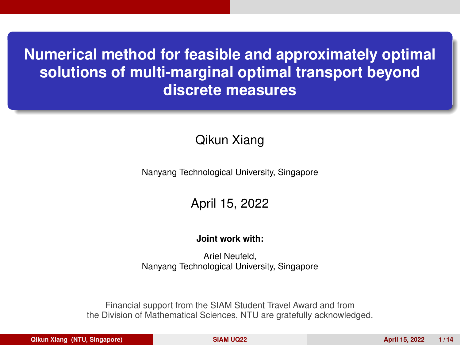<span id="page-0-0"></span>**Numerical method for feasible and approximately optimal solutions of multi-marginal optimal transport beyond discrete measures**

### Qikun Xiang

Nanyang Technological University, Singapore

### April 15, 2022

#### **Joint work with:**

Ariel Neufeld, Nanyang Technological University, Singapore

Financial support from the SIAM Student Travel Award and from the Division of Mathematical Sciences, NTU are gratefully acknowledged.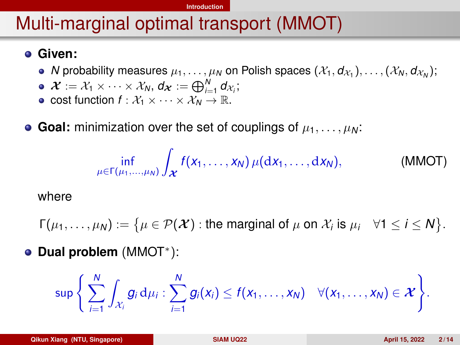#### **[Introduction](#page-1-0)**

### <span id="page-1-0"></span>Multi-marginal optimal transport (MMOT)

### **Given:**

- *N* probability measures  $\mu_1,\ldots,\mu_N$  on Polish spaces  $(\mathcal{X}_1,d_{\mathcal{X}_1}),\ldots,(\mathcal{X}_N,d_{\mathcal{X}_N});$
- $\mathcal{X} := \mathcal{X}_1 \times \cdots \times \mathcal{X}_N$ ,  $d_{\mathcal{X}} := \bigoplus_{i=1}^N d_{\mathcal{X}_i}$ ;
- cost function  $f: \mathcal{X}_1 \times \cdots \times \mathcal{X}_N \to \mathbb{R}$ .
- **Goal:** minimization over the set of couplings of  $\mu_1, \ldots, \mu_N$ :

$$
\inf_{\mu \in \Gamma(\mu_1,\ldots,\mu_N)} \int_{\mathcal{X}} f(x_1,\ldots,x_N) \, \mu(dx_1,\ldots,dx_N), \qquad \qquad \text{(MMOT)}
$$

where

 $\Gamma(\mu_1,\ldots,\mu_N):=\big\{\mu\in\mathcal{P}(\mathcal{X})\text{ : the marginal of }\mu\text{ on }\mathcal{X}_i\text{ is }\mu_i\quad\forall 1\leq i\leq N\big\}.$ 

### **Dual problem** (MMOT<sup>∗</sup> ):

$$
\sup \Bigg\{\sum_{i=1}^N \int_{\mathcal{X}_i} g_i \,d\mu_i : \sum_{i=1}^N g_i(x_i) \leq f(x_1,\ldots,x_N) \quad \forall (x_1,\ldots,x_N) \in \mathcal{X}\Bigg\}.
$$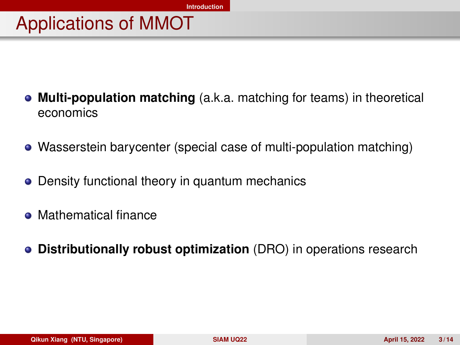# Applications of MMOT

- **Multi-population matching** (a.k.a. matching for teams) in theoretical economics
- Wasserstein barycenter (special case of multi-population matching)
- Density functional theory in quantum mechanics
- Mathematical finance
- **Distributionally robust optimization** (DRO) in operations research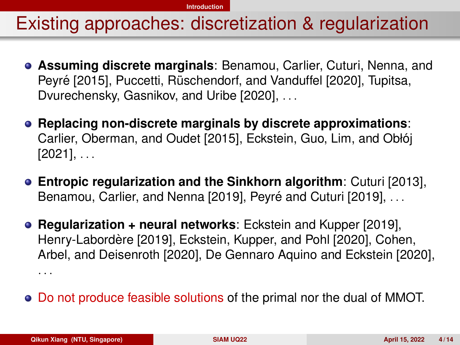**[Introduction](#page-1-0)**

# Existing approaches: discretization & regularization

- **Assuming discrete marginals**: Benamou, Carlier, Cuturi, Nenna, and Peyré [2015], Puccetti, Rüschendorf, and Vanduffel [2020], Tupitsa, Dvurechensky, Gasnikov, and Uribe [2020], . . .
- **Replacing non-discrete marginals by discrete approximations**: Carlier. Oberman, and Oudet [2015], Eckstein, Guo, Lim, and Obłój  $[2021]$ , ...
- **Entropic regularization and the Sinkhorn algorithm**: Cuturi [2013], Benamou, Carlier, and Nenna [2019], Peyré and Cuturi [2019], ...
- **Regularization + neural networks**: Eckstein and Kupper [2019], Henry-Labordère [2019], Eckstein, Kupper, and Pohl [2020], Cohen, Arbel, and Deisenroth [2020], De Gennaro Aquino and Eckstein [2020], . . .
- Do not produce feasible solutions of the primal nor the dual of MMOT.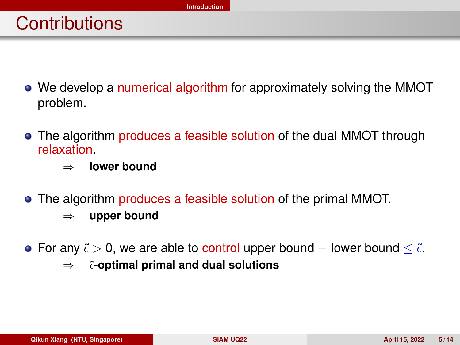# **Contributions**

- We develop a numerical algorithm for approximately solving the MMOT problem.
- The algorithm produces a feasible solution of the dual MMOT through relaxation.
	- **lower bound**
- The algorithm produces a feasible solution of the primal MMOT.
	- ⇒ **upper bound**
- For any  $\tilde{\epsilon} > 0$ , we are able to control upper bound lower bound  $\leq \tilde{\epsilon}$ .
	- ⇒ ˜**-optimal primal and dual solutions**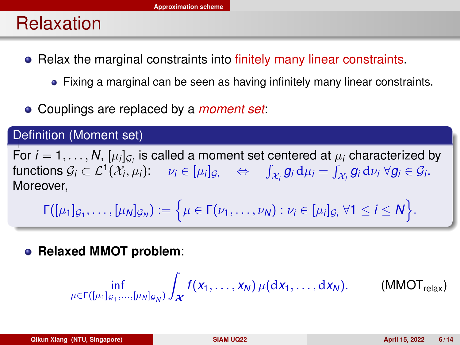### <span id="page-5-0"></span>Relaxation

- Relax the marginal constraints into finitely many linear constraints.
	- Fixing a marginal can be seen as having infinitely many linear constraints.
- Couplings are replaced by a *moment set*:

### Definition (Moment set)

For  $i=1,\ldots,N,$   $[\mu_i]_{\mathcal{G}_i}$  is called a moment set centered at  $\mu_i$  characterized by  $f$ unctions  $\mathcal{G}_i \subset \mathcal{L}^1(\mathcal{X}_i, \mu_i): \quad \nu_i \in [\mu_i]_{\mathcal{G}_i} \quad \Leftrightarrow \quad \int_{\mathcal{X}_i} \bm{g}_i \, \mathrm{d} \mu_i = \int_{\mathcal{X}_i} \bm{g}_i \, \mathrm{d} \nu_i \; \forall \bm{g}_i \in \mathcal{G}_i.$ Moreover,

$$
\Gamma([\mu_1]_{\mathcal{G}_1},\ldots,[\mu_N]_{\mathcal{G}_N}):=\Big\{\mu\in\Gamma(\nu_1,\ldots,\nu_N): \nu_i\in[\mu_i]_{\mathcal{G}_i}\ \forall 1\leq i\leq N\Big\}.
$$

**Relaxed MMOT problem**:

$$
\inf_{\mu \in \Gamma([\mu_1]_{\mathcal{G}_1},\ldots,[\mu_N]_{\mathcal{G}_N})} \int_{\mathcal{X}} f(x_1,\ldots,x_N) \, \mu(\mathrm{d} x_1,\ldots,\mathrm{d} x_N). \hspace{1cm} (\mathsf{M MOT}_{\mathsf{relax}})
$$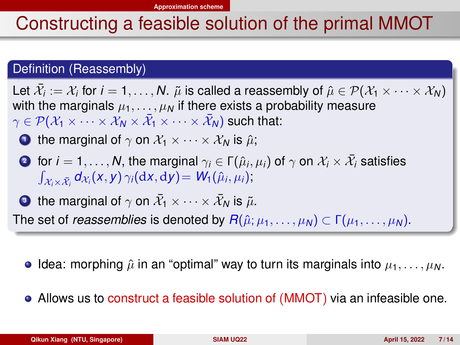# Constructing a feasible solution of the primal MMOT

#### Definition (Reassembly)

Let  $\bar{\mathcal{X}}_i:=\mathcal{X}_i$  for  $i=1,\ldots,N.$   $\tilde{\mu}$  is called a reassembly of  $\hat{\mu}\in\mathcal{P}(\mathcal{X}_1\times\cdots\times\mathcal{X}_N)$ with the marginals  $\mu_1, \ldots, \mu_N$  if there exists a probability measure  $\gamma\in\mathcal{P}(\mathcal{X}_1\times\cdots\times\mathcal{X}_N\times\bar{\mathcal{X}}_1\times\cdots\times\bar{\mathcal{X}}_N)$  such that:

- **1** the marginal of  $\gamma$  on  $\mathcal{X}_1 \times \cdots \times \mathcal{X}_N$  is  $\hat{\mu}$ ;
- **2** for  $i=1,\ldots,N,$  the marginal  $\gamma_i\in\Gamma(\hat\mu_i,\mu_i)$  of  $\gamma$  on  $\mathcal X_i\times\bar{\mathcal X}_i$  satisfies  $\int_{\mathcal{X}_i\times\bar{\mathcal{X}}_i}d_{\mathcal{X}_i}(x,y)\,\gamma_i(\mathrm{d} x,\mathrm{d} y)=\mathcal{W}_1(\hat{\mu}_i,\mu_i);$
- **3** the marginal of  $\gamma$  on  $\bar{\mathcal{X}}_1 \times \cdots \times \bar{\mathcal{X}}_N$  is  $\tilde{\mu}.$

The set of *reassemblies* is denoted by  $R(\hat{\mu}; \mu_1, \ldots, \mu_N) \subset \Gamma(\mu_1, \ldots, \mu_N)$ .

**Idea:** morphing  $\hat{\mu}$  in an "optimal" way to turn its marginals into  $\mu_1, \ldots, \mu_N$ .

• Allows us to construct a feasible solution of (MMOT) via an infeasible one.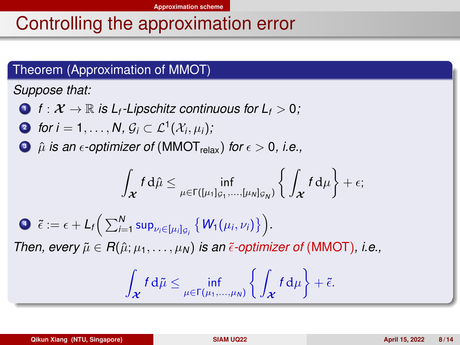# Controlling the approximation error

### Theorem (Approximation of MMOT)

*Suppose that:*

- $\mathbf{D}$   $f: \mathcal{X} \to \mathbb{R}$  is  $L_f$ -Lipschitz continuous for  $L_f > 0$ ;
- $\mathcal{P}$  for  $i=1,\ldots,N$ ,  $\mathcal{G}_i\subset\mathcal{L}^1(\mathcal{X}_i,\mu_i)$ ,
- $\bullet$   $\hat{\mu}$  *is an*  $\epsilon$ *-optimizer of* (MMOT<sub>relax</sub>) *for*  $\epsilon > 0$ *, i.e.,*

$$
\int_{\boldsymbol{\mathcal{X}}} f d\hat{\mu} \leq \inf_{\mu \in \Gamma([{\mu_1}]_{{\mathcal{G}}_1,...,[{\mu_N}]_{{\mathcal{G}}_N})} \left\{ \int_{\boldsymbol{\mathcal{X}}} f d\mu \right\} + \epsilon;
$$

\n- $$
\bullet
$$
  $\tilde{\epsilon} := \epsilon + L_f \Big( \sum_{i=1}^N \sup_{\nu_i \in [\mu_i]_{\mathcal{G}_i}} \big\{ W_1(\mu_i, \nu_i) \big\} \Big).$
\n- Then, every  $\tilde{\mu} \in R(\hat{\mu}; \mu_1, \ldots, \mu_N)$  is an  $\tilde{\epsilon}$ -optimizer of (MMOT), i.e.,
\n

$$
\int_{\boldsymbol{\mathcal{X}}} f d\tilde{\mu} \leq \inf_{\mu \in \Gamma(\mu_1, ..., \mu_N)} \left\{ \int_{\boldsymbol{\mathcal{X}}} f d\mu \right\} + \tilde{\epsilon}.
$$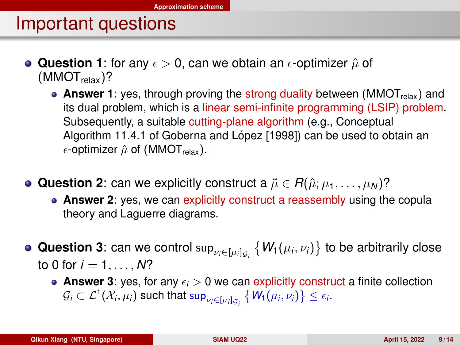### Important questions

- **Question 1**: for any  $\epsilon > 0$ , can we obtain an  $\epsilon$ -optimizer  $\hat{\mu}$  of  $(MMOT<sub>relav</sub>)$ ?
	- **Answer 1**: yes, through proving the strong duality between (MMOT<sub>relax</sub>) and its dual problem, which is a linear semi-infinite programming (LSIP) problem. Subsequently, a suitable cutting-plane algorithm (e.g., Conceptual Algorithm 11.4.1 of Goberna and López [1998]) can be used to obtain an  $\epsilon$ -optimizer  $\hat{\mu}$  of (MMOT<sub>relax</sub>).
- **Question 2**: can we explicitly construct a  $\tilde{\mu} \in R(\hat{\mu}; \mu_1, \ldots, \mu_N)$ ?
	- **Answer 2:** yes, we can explicitly construct a reassembly using the copula theory and Laguerre diagrams.
- **Question 3**: can we control  $\sup_{\nu_i \in [\mu_i]_{\mathcal{G}_i}} \{W_1(\mu_i, \nu_i)\}$  to be arbitrarily close to 0 for  $i = 1, ..., N$ ?
	- **Answer 3:** yes, for any  $\epsilon_i > 0$  we can explicitly construct a finite collection  $\mathcal{G}_i \subset \mathcal{L}^1(\mathcal{X}_i, \mu_i)$  such that  $\sup_{\nu_i \in [\mu_i]_{\mathcal{G}_i}} \big\{ W_1(\mu_i, \nu_i) \big\} \leq \epsilon_i.$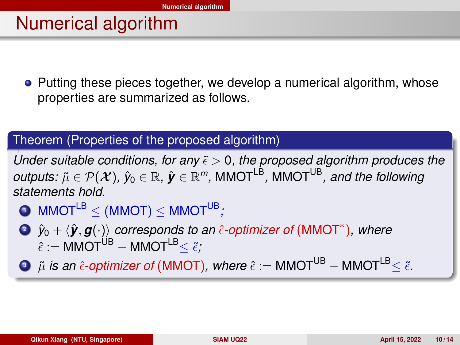### <span id="page-9-0"></span>Numerical algorithm

• Putting these pieces together, we develop a numerical algorithm, whose properties are summarized as follows.

#### Theorem (Properties of the proposed algorithm)

*Under suitable conditions, for any*  $\tilde{\epsilon} > 0$ , the proposed algorithm produces the  $\bm{o}$ utputs:  $\tilde{\mu} \in \mathcal{P}(\bm{\mathcal{X}})$ ,  $\hat{\mathbf{y}}_0 \in \mathbb{R}$ ,  $\hat{\bm{y}} \in \mathbb{R}^m$ ,  $\bm{\mathsf{MMOT}}^{\mathsf{LB}}$ ,  $\bm{\mathsf{MMOT}}^{\mathsf{UB}}$ , and the following *statements hold.*

- $\bullet$  MMOT<sup>LB</sup> < (MMOT) < MMOT<sup>UB</sup>;
- **2**  $\hat{y}_0 + \langle \hat{\bm{y}}, \bm{g}(\cdot)\rangle$  corresponds to an  $\hat{\epsilon}$ -optimizer of (MMOT $^*$ ), where  $\hat{\epsilon}$  := MMOT<sup>UB</sup> – MMOT<sup>LB</sup> <  $\tilde{\epsilon}$ .
- **3**  $\tilde{\mu}$  *is an*  $\hat{\epsilon}$ *-optimizer of* (MMOT), where  $\hat{\epsilon}$  := MMOT<sup>UB</sup> − MMOT<sup>LB</sup> <  $\tilde{\epsilon}$ .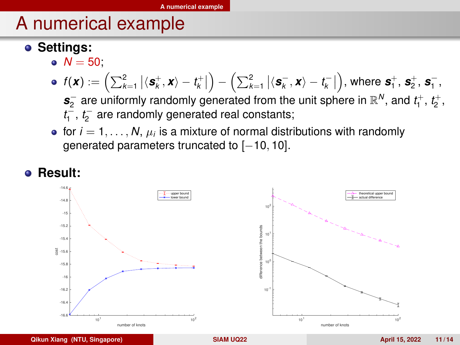# <span id="page-10-0"></span>A numerical example

- $\bullet$  Settings:
	- $N = 50$ :

$$
\bullet \ \ f(\textbf{\textit{x}}):=\left(\textstyle\sum_{k=1}^2\left|\langle\textbf{\textit{s}}_k^+,\textbf{\textit{x}}\rangle-t_k^+\right|\right)-\left(\textstyle\sum_{k=1}^2\left|\langle\textbf{\textit{s}}_k^-,\textbf{\textit{x}}\rangle-t_k^-\right|\right)\textrm{, where }\textbf{\textit{s}}_1^+,\,\textbf{\textit{s}}_2^+,\,\textbf{\textit{s}}_1^-,
$$

- $\mathbf{s}_2^-$  are uniformly randomly generated from the unit sphere in  $\mathbb{R}^N$ , and  $t_1^+$ ,  $t_2^+$ , *t* − 1 , *t* − 2 are randomly generated real constants;
- for  $i=1,\ldots,N$ ,  $\mu_i$  is a mixture of normal distributions with randomly generated parameters truncated to [−10, 10].

### **Result:**



**Qikun Xiang (NTU, Singapore) [SIAM UQ22](#page-0-0) April 15, 2022 11 / 14**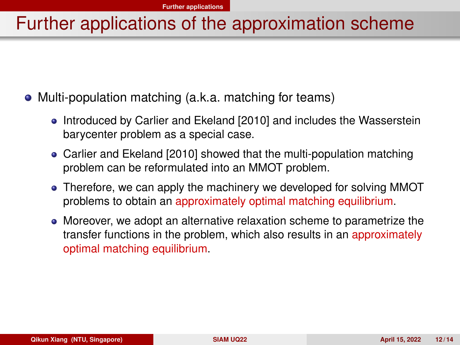### <span id="page-11-0"></span>Further applications of the approximation scheme

- Multi-population matching (a.k.a. matching for teams)
	- Introduced by Carlier and Ekeland [2010] and includes the Wasserstein barycenter problem as a special case.
	- Carlier and Ekeland [2010] showed that the multi-population matching problem can be reformulated into an MMOT problem.
	- Therefore, we can apply the machinery we developed for solving MMOT problems to obtain an approximately optimal matching equilibrium.
	- Moreover, we adopt an alternative relaxation scheme to parametrize the transfer functions in the problem, which also results in an approximately optimal matching equilibrium.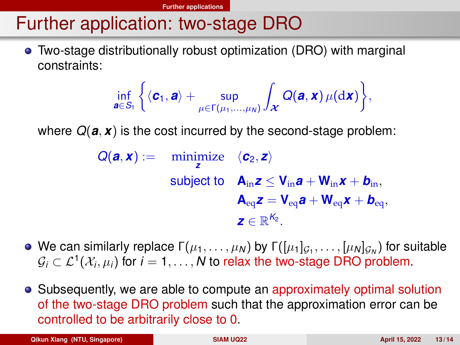# Further application: two-stage DRO

Two-stage distributionally robust optimization (DRO) with marginal constraints:

$$
\inf_{\boldsymbol{a}\in S_1}\bigg\{\langle\boldsymbol{c}_1,\boldsymbol{a}\rangle+\sup_{\mu\in\Gamma(\mu_1,\ldots,\mu_N)}\int_{\boldsymbol{\mathcal{X}}}Q(\boldsymbol{a},\boldsymbol{x})\,\mu(\mathrm{d}\boldsymbol{x})\bigg\},
$$

where *Q*(*a*, *x*) is the cost incurred by the second-stage problem:

 $Q(\mathbf{a}, \mathbf{x}) := \min_{\mathbf{z}} \frac{\langle \mathbf{c}_2, \mathbf{z} \rangle}{\langle \mathbf{c}_1, \mathbf{z} \rangle}$ subject to  $\mathbf{A}_{in}z \leq \mathbf{V}_{in}a + \mathbf{W}_{in}x + \mathbf{b}_{in}$  $A_{eq}z = V_{eq}a + W_{eq}x + b_{eq}$  $z \in \mathbb{R}^{K_2}$ .

- We can similarly replace Γ $(\mu_1,\ldots,\mu_N)$  by Γ $([\mu_1]_{\mathcal G_1},\ldots,[\mu_N]_{\mathcal G_N})$  for suitable  $\mathcal{G}_i \subset \mathcal{L}^1(\mathcal{X}_i, \mu_i)$  for  $i = 1, \ldots, \mathsf{N}$  to relax the two-stage DRO problem.
- Subsequently, we are able to compute an approximately optimal solution of the two-stage DRO problem such that the approximation error can be controlled to be arbitrarily close to 0.

**Qikun Xiang (NTU, Singapore) [SIAM UQ22](#page-0-0) April 15, 2022 13 / 14**